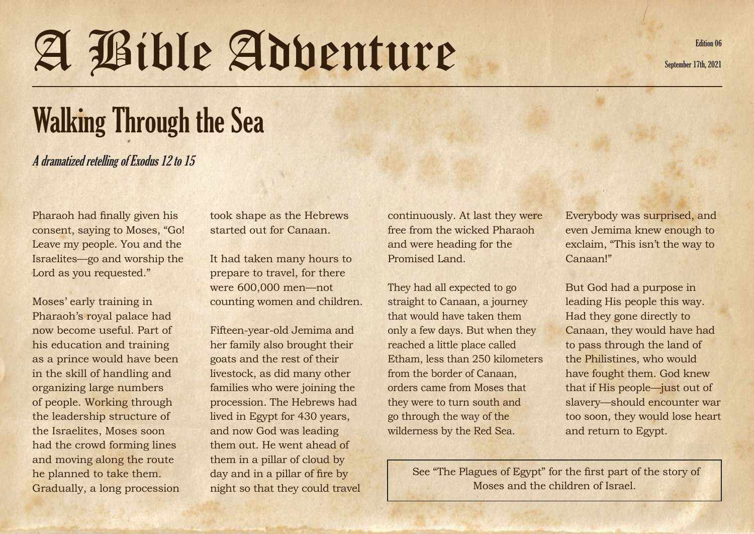## A Bible Adventure September 17th, 2021

Walking Through the Sea

A dramatized retelling of Exodus 12 to 15

Pharaoh had finally given his consent, saying to Moses, "Go! Leave my people. You and the Israelites—go and worship the Lord as you requested."

Moses' early training in Pharaoh's royal palace had now become useful. Part of his education and training as a prince would have been in the skill of handling and organizing large numbers of people. Working through the leadership structure of the Israelites, Moses soon had the crowd forming lines and moving along the route he planned to take them. Gradually, a long procession took shape as the Hebrews started out for Canaan.

It had taken many hours to prepare to travel, for there were 600,000 men—not counting women and children.

Fifteen-year-old Jemima and her family also brought their goats and the rest of their livestock, as did many other families who were joining the procession. The Hebrews had lived in Egypt for 430 years, and now God was leading them out. He went ahead of them in a pillar of cloud by day and in a pillar of fire by night so that they could travel continuously. At last they were free from the wicked Pharaoh and were heading for the Promised Land.

They had all expected to go straight to Canaan, a journey that would have taken them only a few days. But when they reached a little place called Etham, less than 250 kilometers from the border of Canaan, orders came from Moses that they were to turn south and go through the way of the wilderness by the Red Sea.

Everybody was surprised, and even Jemima knew enough to exclaim, "This isn't the way to Canaan!"

But God had a purpose in leading His people this way. Had they gone directly to Canaan, they would have had to pass through the land of the Philistines, who would have fought them. God knew that if His people—just out of slavery—should encounter war too soon, they would lose heart and return to Egypt.

 See "The Plagues of Egypt" for the first part of the story of Moses and the children of Israel.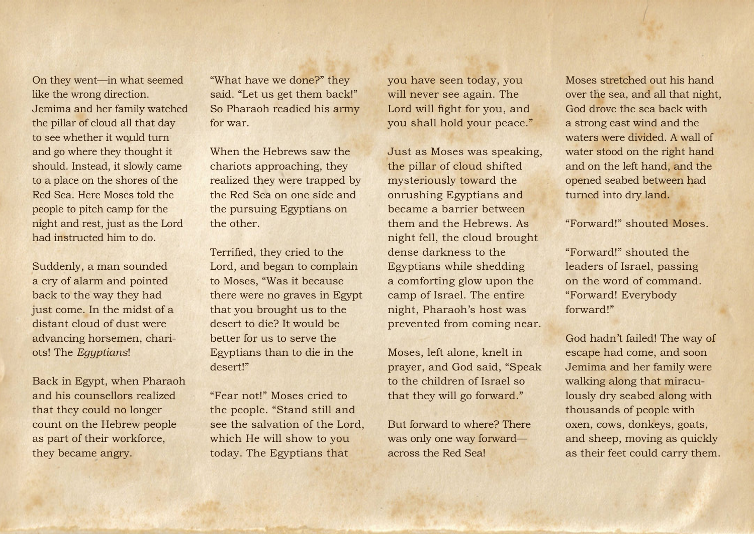On they went—in what seemed like the wrong direction. Jemima and her family watched the pillar of cloud all that day to see whether it would turn and go where they thought it should. Instead, it slowly came to a place on the shores of the Red Sea. Here Moses told the people to pitch camp for the night and rest, just as the Lord had instructed him to do.

Suddenly, a man sounded a cry of alarm and pointed back to the way they had just come. In the midst of a distant cloud of dust were advancing horsemen, chariots! The *Egyptians*!

Back in Egypt, when Pharaoh and his counsellors realized that they could no longer count on the Hebrew people as part of their workforce, they became angry.

"What have we done?" they said. "Let us get them back!" So Pharaoh readied his army for war.

When the Hebrews saw the chariots approaching, they realized they were trapped by the Red Sea on one side and the pursuing Egyptians on the other.

Terrified, they cried to the Lord, and began to complain to Moses, "Was it because there were no graves in Egypt that you brought us to the desert to die? It would be better for us to serve the Egyptians than to die in the desert!"

"Fear not!" Moses cried to the people. "Stand still and see the salvation of the Lord, which He will show to you today. The Egyptians that

you have seen today, you will never see again. The Lord will fight for you, and you shall hold your peace."

Just as Moses was speaking, the pillar of cloud shifted mysteriously toward the onrushing Egyptians and became a barrier between them and the Hebrews. As night fell, the cloud brought dense darkness to the Egyptians while shedding a comforting glow upon the camp of Israel. The entire night, Pharaoh's host was prevented from coming near.

Moses, left alone, knelt in prayer, and God said, "Speak to the children of Israel so that they will go forward."

But forward to where? There was only one way forward across the Red Sea!

Moses stretched out his hand over the sea, and all that night, God drove the sea back with a strong east wind and the waters were divided. A wall of water stood on the right hand and on the left hand, and the opened seabed between had turned into dry land.

## "Forward!" shouted Moses.

"Forward!" shouted the leaders of Israel, passing on the word of command. "Forward! Everybody forward!"

God hadn't failed! The way of escape had come, and soon Jemima and her family were walking along that miraculously dry seabed along with thousands of people with oxen, cows, donkeys, goats, and sheep, moving as quickly as their feet could carry them.